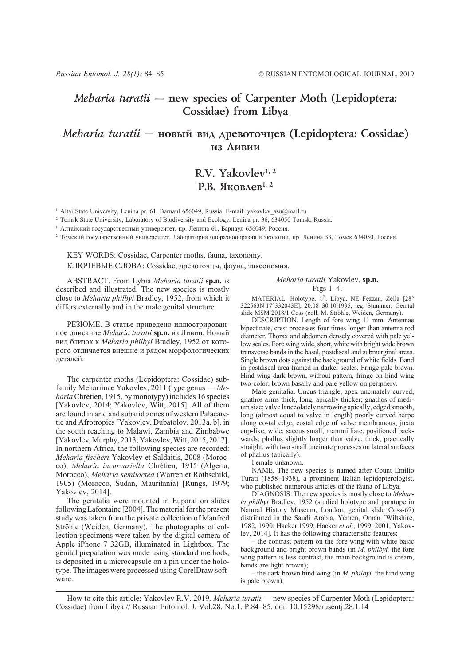## *Meharia turatii* **— new species of Carpenter Moth (Lepidoptera: Cossidae) from Libya**

### *Meharia turatii* — новый вид древоточцев (Lepidoptera: Cossidae) из Ливии

# **R.V. Yakovlev1, 2 Р.В. Яковлев**<sup>1, 2</sup>

<sup>1</sup> Altai State University, Lenina pr. 61, Barnaul 656049, Russia. E-mail: yakovlev asu@mail.ru

<sup>2</sup> Tomsk State University, Laboratory of Biodiversity and Ecology, Lenina pr. 36, 634050 Tomsk, Russia.

<sup>1</sup> Алтайский государственный университет, пр. Ленина 61, Барнаул 656049, Россия.

<sup>2</sup> Томский государственный университет, Лаборатория биоразнообразия и экологии, пр. Ленина 33, Томск 634050, Россия.

KEY WORDS: Cossidae, Carpenter moths, fauna, taxonomy.

КЛЮЧЕВЫЕ СЛОВА: Cossidae, древоточцы, фауна, таксономия.

ABSTRACT. From Lybia *Meharia turatii* **sp.n.** is described and illustrated. The new species is mostly close to *Meharia philbyi* Bradley, 1952, from which it differs externally and in the male genital structure.

РЕЗЮМЕ. В статье приведено иллюстрированное описание *Meharia turatii* **sp.n.** из Ливии. Новый вид близок к *Meharia philbyi* Bradley, 1952 от которого отличается внешне и рядом морфологических деталей.

The carpenter moths (Lepidoptera: Cossidae) subfamily Mehariinae Yakovlev, 2011 (type genus — *Meharia* Chrétien, 1915, by monotypy) includes 16 species [Yakovlev, 2014; Yakovlev, Witt, 2015]. All of them are found in arid and subarid zones of western Palaearctic and Afrotropics [Yakovlev, Dubatolov, 2013a, b], in the south reaching to Malawi, Zambia and Zimbabwe [Yakovlev, Murphy, 2013; Yakovlev, Witt, 2015, 2017]. In northern Africa, the following species are recorded: *Meharia fischeri* Yakovlev et Saldaitis, 2008 (Morocco), *Meharia incurvariella* Chrétien, 1915 (Algeria, Morocco), *Meharia semilactea* (Warren et Rothschild, 1905) (Morocco, Sudan, Mauritania) [Rungs, 1979; Yakovlev, 2014].

The genitalia were mounted in Euparal on slides following Lafontaine [2004]. The material for the present study was taken from the private collection of Manfred Ströhle (Weiden, Germany). The photographs of collection specimens were taken by the digital camera of Apple iPhone 7 32GB, illuminated in Lightbox. The genital preparation was made using standard methods, is deposited in a microcapsule on a pin under the holotype. The images were processed using CorelDraw software.

#### *Meharia turatii* Yakovlev, **sp.n.** Figs 1–4.

MATERIAL. Holotype,  $\circ$ <sup>7</sup>, Libya, NE Fezzan, Zella [28° 322563N 17°332043E], 20.08–30.10.1995, leg. Stummer; Genital slide MSM 2018/1 Coss (coll. M. Ströhle, Weiden, Germany).

DESCRIPTION. Length of fore wing 11 mm. Antennae bipectinate, crest processes four times longer than antenna rod diameter. Thorax and abdomen densely covered with pale yellow scales. Fore wing wide, short, white with bright wide brown transverse bands in the basal, postdiscal and submarginal areas. Single brown dots against the background of white fields. Band in postdiscal area framed in darker scales. Fringe pale brown. Hind wing dark brown, without pattern, fringe on hind wing two-color: brown basally and pale yellow on periphery.

Male genitalia. Uncus triangle, apex uncinately curved; gnathos arms thick, long, apically thicker; gnathos of medium size; valve lanceolately narrowing apically, edged smooth, long (almost equal to valve in length) poorly curved harpe along costal edge, costal edge of valve membranous; juxta cup-like, wide; saccus small, mammilliate, positioned backwards; phallus slightly longer than valve, thick, practically straight, with two small uncinate processes on lateral surfaces of phallus (apically).

Female unknown.

NAME. The new species is named after Count Emilio Turati (1858–1938), a prominent Italian lepidopterologist, who published numerous articles of the fauna of Libya.

DIAGNOSIS. The new species is mostly close to *Meharia philbyi* Bradley, 1952 (studied holotype and paratupe in Natural History Museum, London, genital slide Coss-67) distributed in the Saudi Arabia, Yemen, Oman [Wiltshire, 1982, 1990; Hacker 1999; Hacker *et al*., 1999, 2001; Yakovlev, 2014]. It has the following characteristic features:

– the contrast pattern on the fore wing with white basic background and bright brown bands (in *M. philbyi,* the fore wing pattern is less contrast, the main background is cream, bands are light brown);

– the dark brown hind wing (in *M. philbyi,* the hind wing is pale brown);

How to cite this article: Yakovlev R.V. 2019. *Meharia turatii* — new species of Carpenter Moth (Lepidoptera: Cossidae) from Libya // Russian Entomol. J. Vol.28. No.1. P.84–85. doi: 10.15298/rusentj.28.1.14